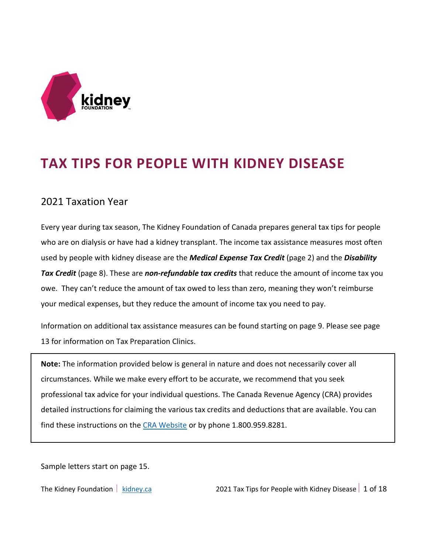

# **TAX TIPS FOR PEOPLE WITH KIDNEY DISEASE**

### 2021 Taxation Year

Every year during tax season, The Kidney Foundation of Canada prepares general tax tips for people who are on dialysis or have had a kidney transplant. The income tax assistance measures most often used by people with kidney disease are the *Medical Expense Tax Credit* (page 2) and the *Disability Tax Credit* (page 8). These are *non-refundable tax credits* that reduce the amount of income tax you owe. They can't reduce the amount of tax owed to less than zero, meaning they won't reimburse your medical expenses, but they reduce the amount of income tax you need to pay.

Information on additional tax assistance measures can be found starting on page 9. Please see page 13 for information on Tax Preparation Clinics.

**Note:** The information provided below is general in nature and does not necessarily cover all circumstances. While we make every effort to be accurate, we recommend that you seek professional tax advice for your individual questions. The Canada Revenue Agency (CRA) provides detailed instructions for claiming the various tax credits and deductions that are available. You can find these instructions on the [CRA Website](https://www.canada.ca/en/revenue-agency.html) or by phone 1.800.959.8281.

Sample letters start on page 15.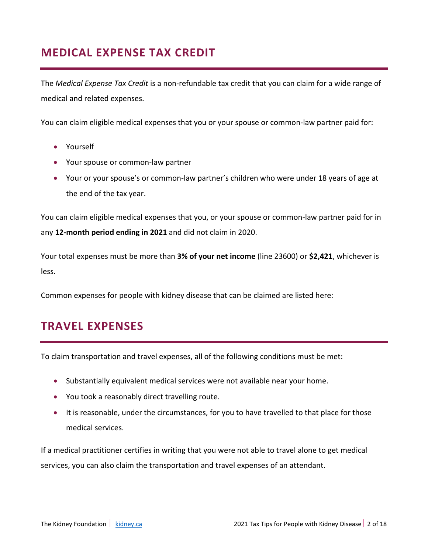# **MEDICAL EXPENSE TAX CREDIT**

The *Medical Expense Tax Credit* is a non-refundable tax credit that you can claim for a wide range of medical and related expenses.

You can claim eligible medical expenses that you or your spouse or common-law partner paid for:

- Yourself
- Your spouse or common-law partner
- Your or your spouse's or common-law partner's children who were under 18 years of age at the end of the tax year.

You can claim eligible medical expenses that you, or your spouse or common-law partner paid for in any **12-month period ending in 2021** and did not claim in 2020.

Your total expenses must be more than **3% of your net income** (line 23600) or **\$2,421**, whichever is less.

Common expenses for people with kidney disease that can be claimed are listed here:

# **TRAVEL EXPENSES**

To claim transportation and travel expenses, all of the following conditions must be met:

- Substantially equivalent medical services were not available near your home.
- You took a reasonably direct travelling route.
- It is reasonable, under the circumstances, for you to have travelled to that place for those medical services.

If a medical practitioner certifies in writing that you were not able to travel alone to get medical services, you can also claim the transportation and travel expenses of an attendant.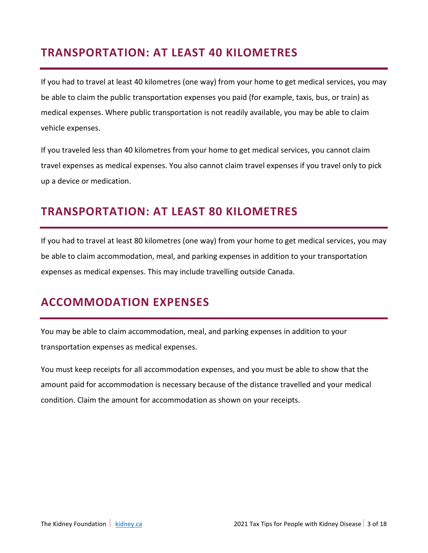# **TRANSPORTATION: AT LEAST 40 KILOMETRES**

If you had to travel at least 40 kilometres (one way) from your home to get medical services, you may be able to claim the public transportation expenses you paid (for example, taxis, bus, or train) as medical expenses. Where public transportation is not readily available, you may be able to claim vehicle expenses.

If you traveled less than 40 kilometres from your home to get medical services, you cannot claim travel expenses as medical expenses. You also cannot claim travel expenses if you travel only to pick up a device or medication.

# **TRANSPORTATION: AT LEAST 80 KILOMETRES**

If you had to travel at least 80 kilometres (one way) from your home to get medical services, you may be able to claim accommodation, meal, and parking expenses in addition to your transportation expenses as medical expenses. This may include travelling outside Canada.

# **ACCOMMODATION EXPENSES**

You may be able to claim accommodation, meal, and parking expenses in addition to your transportation expenses as medical expenses.

You must keep receipts for all accommodation expenses, and you must be able to show that the amount paid for accommodation is necessary because of the distance travelled and your medical condition. Claim the amount for accommodation as shown on your receipts.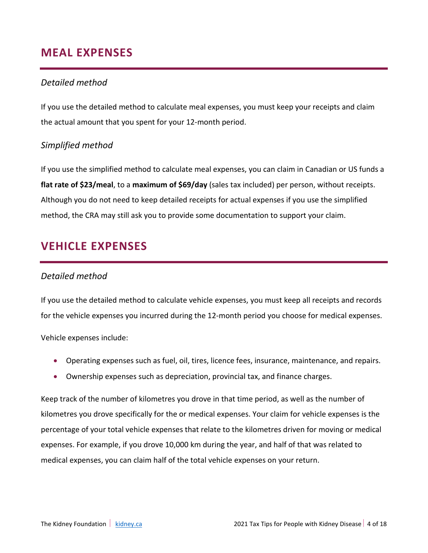# **MEAL EXPENSES**

### *Detailed method*

If you use the detailed method to calculate meal expenses, you must keep your receipts and claim the actual amount that you spent for your 12-month period.

### *Simplified method*

If you use the simplified method to calculate meal expenses, you can claim in Canadian or US funds a **flat rate of \$23/meal**, to a **maximum of \$69/day** (sales tax included) per person, without receipts. Although you do not need to keep detailed receipts for actual expenses if you use the simplified method, the CRA may still ask you to provide some documentation to support your claim.

# **VEHICLE EXPENSES**

### *Detailed method*

If you use the detailed method to calculate vehicle expenses, you must keep all receipts and records for the vehicle expenses you incurred during the 12-month period you choose for medical expenses.

Vehicle expenses include:

- Operating expenses such as fuel, oil, tires, licence fees, insurance, maintenance, and repairs.
- Ownership expenses such as depreciation, provincial tax, and finance charges.

Keep track of the number of kilometres you drove in that time period, as well as the number of kilometres you drove specifically for the or medical expenses. Your claim for vehicle expenses is the percentage of your total vehicle expenses that relate to the kilometres driven for moving or medical expenses. For example, if you drove 10,000 km during the year, and half of that was related to medical expenses, you can claim half of the total vehicle expenses on your return.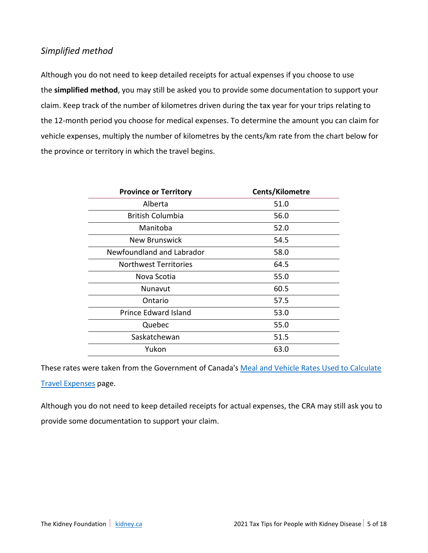### *Simplified method*

Although you do not need to keep detailed receipts for actual expenses if you choose to use the **simplified method**, you may still be asked you to provide some documentation to support your claim. Keep track of the number of kilometres driven during the tax year for your trips relating to the 12-month period you choose for medical expenses. To determine the amount you can claim for vehicle expenses, multiply the number of kilometres by the cents/km rate from the chart below for the province or territory in which the travel begins.

| <b>Province or Territory</b> | Cents/Kilometre |
|------------------------------|-----------------|
| Alberta                      | 51.0            |
| <b>British Columbia</b>      | 56.0            |
| Manitoba                     | 52.0            |
| New Brunswick                | 54.5            |
| Newfoundland and Labrador    | 58.0            |
| <b>Northwest Territories</b> | 64.5            |
| Nova Scotia                  | 55.0            |
| Nunavut                      | 60.5            |
| Ontario                      | 57.5            |
| <b>Prince Edward Island</b>  | 53.0            |
| Quebec                       | 55.0            |
| Saskatchewan                 | 51.5            |
| Yukon                        | 63.0            |

These rates were taken from the Government of Canada's [Meal and Vehicle Rates Used to Calculate](https://www.canada.ca/en/revenue-agency/services/tax/individuals/topics/about-your-tax-return/tax-return/completing-a-tax-return/deductions-credits-expenses/line-25500-northern-residents-deductions/meal-vehicle-rates-previous-years/meal-vehicle-rates-used-calculate-travel-expenses-2021.html)  [Travel Expenses](https://www.canada.ca/en/revenue-agency/services/tax/individuals/topics/about-your-tax-return/tax-return/completing-a-tax-return/deductions-credits-expenses/line-25500-northern-residents-deductions/meal-vehicle-rates-previous-years/meal-vehicle-rates-used-calculate-travel-expenses-2021.html) page.

Although you do not need to keep detailed receipts for actual expenses, the CRA may still ask you to provide some documentation to support your claim.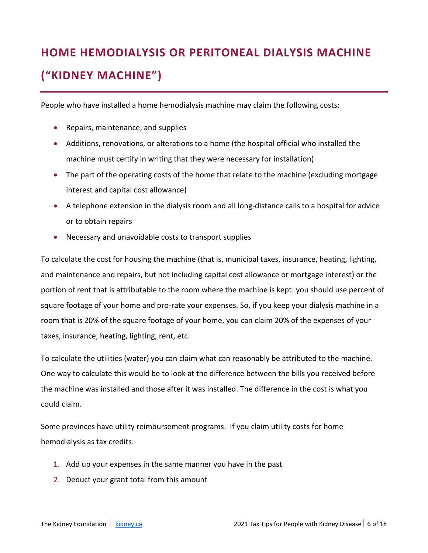# **HOME HEMODIALYSIS OR PERITONEAL DIALYSIS MACHINE ("KIDNEY MACHINE")**

People who have installed a home hemodialysis machine may claim the following costs:

- Repairs, maintenance, and supplies
- Additions, renovations, or alterations to a home (the hospital official who installed the machine must certify in writing that they were necessary for installation)
- The part of the operating costs of the home that relate to the machine (excluding mortgage interest and capital cost allowance)
- A telephone extension in the dialysis room and all long-distance calls to a hospital for advice or to obtain repairs
- Necessary and unavoidable costs to transport supplies

To calculate the cost for housing the machine (that is, municipal taxes, insurance, heating, lighting, and maintenance and repairs, but not including capital cost allowance or mortgage interest) or the portion of rent that is attributable to the room where the machine is kept: you should use percent of square footage of your home and pro-rate your expenses. So, if you keep your dialysis machine in a room that is 20% of the square footage of your home, you can claim 20% of the expenses of your taxes, insurance, heating, lighting, rent, etc.

To calculate the utilities (water) you can claim what can reasonably be attributed to the machine. One way to calculate this would be to look at the difference between the bills you received before the machine was installed and those after it was installed. The difference in the cost is what you could claim.

Some provinces have utility reimbursement programs. If you claim utility costs for home hemodialysis as tax credits:

- 1. Add up your expenses in the same manner you have in the past
- 2. Deduct your grant total from this amount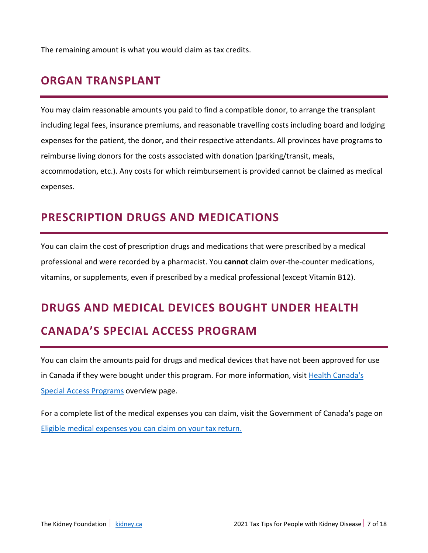The remaining amount is what you would claim as tax credits.

## **ORGAN TRANSPLANT**

You may claim reasonable amounts you paid to find a compatible donor, to arrange the transplant including legal fees, insurance premiums, and reasonable travelling costs including board and lodging expenses for the patient, the donor, and their respective attendants. All provinces have programs to reimburse living donors for the costs associated with donation (parking/transit, meals, accommodation, etc.). Any costs for which reimbursement is provided cannot be claimed as medical expenses.

# **PRESCRIPTION DRUGS AND MEDICATIONS**

You can claim the cost of prescription drugs and medications that were prescribed by a medical professional and were recorded by a pharmacist. You **cannot** claim over-the-counter medications, vitamins, or supplements, even if prescribed by a medical professional (except Vitamin B12).

# **DRUGS AND MEDICAL DEVICES BOUGHT UNDER HEALTH CANADA'S SPECIAL ACCESS PROGRAM**

You can claim the amounts paid for drugs and medical devices that have not been approved for use in Canada if they were bought under this program. For more information, visit [Health Canada's](https://www.canada.ca/en/health-canada/services/drugs-health-products/special-access.html)  [Special Access Programs](https://www.canada.ca/en/health-canada/services/drugs-health-products/special-access.html) overview page.

For a complete list of the medical expenses you can claim, visit the Government of Canada's page on [Eligible medical expenses you can claim on your tax return.](https://www.canada.ca/en/revenue-agency/services/tax/individuals/topics/about-your-tax-return/tax-return/completing-a-tax-return/deductions-credits-expenses/lines-33099-33199-eligible-medical-expenses-you-claim-on-your-tax-return.html)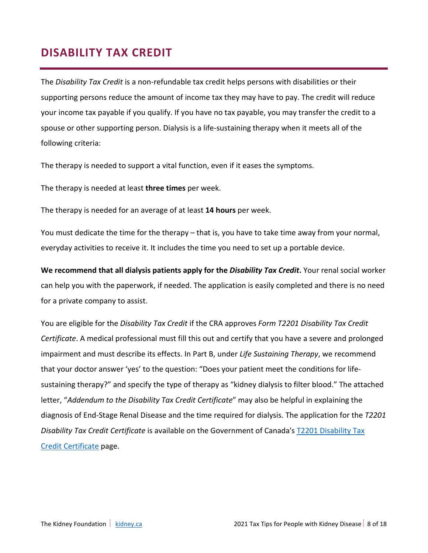# **DISABILITY TAX CREDIT**

The *Disability Tax Credit* is a non-refundable tax credit helps persons with disabilities or their supporting persons reduce the amount of income tax they may have to pay. The credit will reduce your income tax payable if you qualify. If you have no tax payable, you may transfer the credit to a spouse or other supporting person. Dialysis is a life-sustaining therapy when it meets all of the following criteria:

The therapy is needed to support a vital function, even if it eases the symptoms.

The therapy is needed at least **three times** per week.

The therapy is needed for an average of at least **14 hours** per week.

You must dedicate the time for the therapy – that is, you have to take time away from your normal, everyday activities to receive it. It includes the time you need to set up a portable device.

**We recommend that all dialysis patients apply for the** *Disability Tax Credit***.** Your renal social worker can help you with the paperwork, if needed. The application is easily completed and there is no need for a private company to assist.

You are eligible for the *Disability Tax Credit* if the CRA approves *Form T2201 Disability Tax Credit Certificate*. A medical professional must fill this out and certify that you have a severe and prolonged impairment and must describe its effects. In Part B, under *Life Sustaining Therapy*, we recommend that your doctor answer 'yes' to the question: "Does your patient meet the conditions for lifesustaining therapy?" and specify the type of therapy as "kidney dialysis to filter blood." The attached letter, "*Addendum to the Disability Tax Credit Certificate*" may also be helpful in explaining the diagnosis of End-Stage Renal Disease and the time required for dialysis. The application for the *T2201 Disability Tax Credit Certificate* is available on the Government of Canada's [T2201 Disability Tax](https://www.canada.ca/en/revenue-agency/services/forms-publications/forms/t2201.html)  [Credit Certificate](https://www.canada.ca/en/revenue-agency/services/forms-publications/forms/t2201.html) page.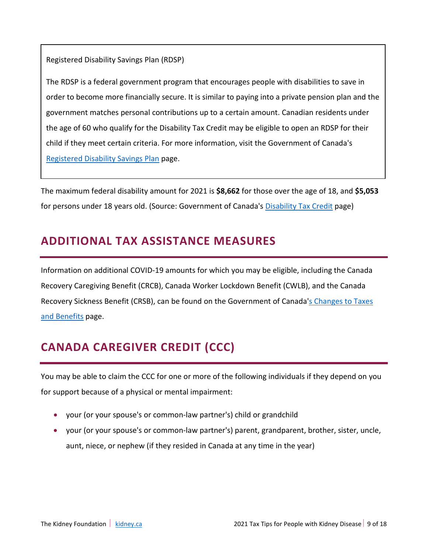Registered Disability Savings Plan (RDSP)

The RDSP is a federal government program that encourages people with disabilities to save in order to become more financially secure. It is similar to paying into a private pension plan and the government matches personal contributions up to a certain amount. Canadian residents under the age of 60 who qualify for the Disability Tax Credit may be eligible to open an RDSP for their child if they meet certain criteria. For more information, visit the Government of Canada's [Registered Disability Savings Plan](https://www.canada.ca/en/revenue-agency/services/tax/individuals/topics/registered-disability-savings-plan-rdsp/opening-rdsp.html) page.

The maximum federal disability amount for 2021 is **\$8,662** for those over the age of 18, and **\$5,053** for persons under 18 years old. (Source: Government of Canada's [Disability Tax Credit](https://www.canada.ca/en/revenue-agency/services/tax/individuals/segments/tax-credits-deductions-persons-disabilities/disability-tax-credit.html) page)

# **ADDITIONAL TAX ASSISTANCE MEASURES**

Information on additional COVID-19 amounts for which you may be eligible, including the Canada Recovery Caregiving Benefit (CRCB), Canada Worker Lockdown Benefit (CWLB), and the Canada Recovery Sickness Benefit (CRSB), can be found on the Government of Canada's Changes to Taxes [and Benefits](https://www.canada.ca/en/revenue-agency/campaigns/covid-19-update.html) page.

# **CANADA CAREGIVER CREDIT (CCC)**

You may be able to claim the CCC for one or more of the following individuals if they depend on you for support because of a physical or mental impairment:

- your (or your spouse's or common-law partner's) child or grandchild
- your (or your spouse's or common-law partner's) parent, grandparent, brother, sister, uncle, aunt, niece, or nephew (if they resided in Canada at any time in the year)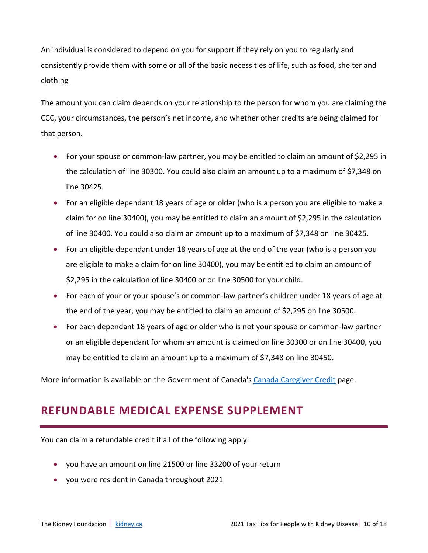An individual is considered to depend on you for support if they rely on you to regularly and consistently provide them with some or all of the basic necessities of life, such as food, shelter and clothing

The amount you can claim depends on your relationship to the person for whom you are claiming the CCC, your circumstances, the person's net income, and whether other credits are being claimed for that person.

- For your spouse or common-law partner, you may be entitled to claim an amount of \$2,295 in the calculation of line 30300. You could also claim an amount up to a maximum of \$7,348 on line 30425.
- For an eligible dependant 18 years of age or older (who is a person you are eligible to make a claim for on line 30400), you may be entitled to claim an amount of \$2,295 in the calculation of line 30400. You could also claim an amount up to a maximum of \$7,348 on line 30425.
- For an eligible dependant under 18 years of age at the end of the year (who is a person you are eligible to make a claim for on line 30400), you may be entitled to claim an amount of \$2,295 in the calculation of line 30400 or on line 30500 for your child.
- For each of your or your spouse's or common-law partner's children under 18 years of age at the end of the year, you may be entitled to claim an amount of \$2,295 on line 30500.
- For each dependant 18 years of age or older who is not your spouse or common-law partner or an eligible dependant for whom an amount is claimed on line 30300 or on line 30400, you may be entitled to claim an amount up to a maximum of \$7,348 on line 30450.

More information is available on the Government of Canada'[s Canada Caregiver Credit](https://www.canada.ca/en/revenue-agency/services/tax/individuals/topics/about-your-tax-return/tax-return/completing-a-tax-return/deductions-credits-expenses/canada-caregiver-amount.html) page.

# **REFUNDABLE MEDICAL EXPENSE SUPPLEMENT**

You can claim a refundable credit if all of the following apply:

- you have an amount on line 21500 or line 33200 of your return
- you were resident in Canada throughout 2021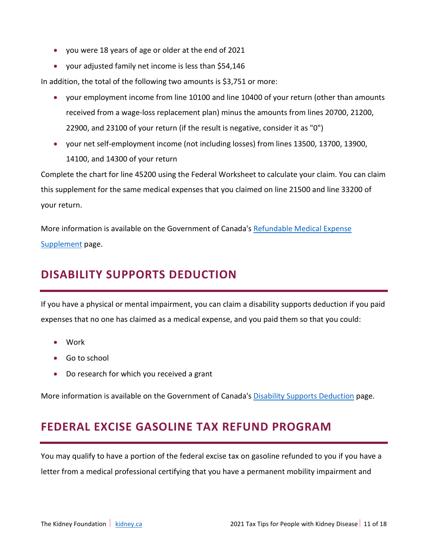- you were 18 years of age or older at the end of 2021
- your adjusted family net income is less than \$54,146

In addition, the total of the following two amounts is \$3,751 or more:

- your employment income from line 10100 and line 10400 of your return (other than amounts received from a wage-loss replacement plan) minus the amounts from lines 20700, 21200, 22900, and 23100 of your return (if the result is negative, consider it as "0")
- your net self-employment income (not including losses) from lines 13500, 13700, 13900, 14100, and 14300 of your return

Complete the chart for line 45200 using the Federal Worksheet to calculate your claim. You can claim this supplement for the same medical expenses that you claimed on line 21500 and line 33200 of your return.

More information is available on the Government of Canada'[s Refundable Medical Expense](https://www.canada.ca/en/revenue-agency/services/tax/individuals/topics/about-your-tax-return/tax-return/completing-a-tax-return/deductions-credits-expenses/line-45200-refundable-medical-expense-supplement.html)  [Supplement](https://www.canada.ca/en/revenue-agency/services/tax/individuals/topics/about-your-tax-return/tax-return/completing-a-tax-return/deductions-credits-expenses/line-45200-refundable-medical-expense-supplement.html) page.

# **DISABILITY SUPPORTS DEDUCTION**

If you have a physical or mental impairment, you can claim a disability supports deduction if you paid expenses that no one has claimed as a medical expense, and you paid them so that you could:

- Work
- Go to school
- Do research for which you received a grant

More information is available on the Government of Canada'[s Disability Supports Deduction](https://www.canada.ca/en/revenue-agency/services/tax/individuals/topics/about-your-tax-return/tax-return/completing-a-tax-return/deductions-credits-expenses/line-21500-disability-supports-deduction.html) page.

# **FEDERAL EXCISE GASOLINE TAX REFUND PROGRAM**

You may qualify to have a portion of the federal excise tax on gasoline refunded to you if you have a letter from a medical professional certifying that you have a permanent mobility impairment and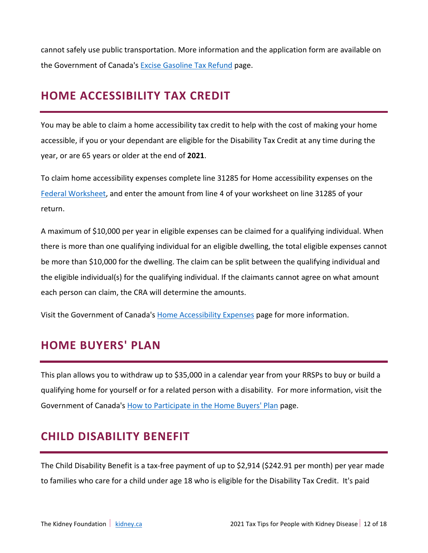cannot safely use public transportation. More information and the application form are available on the Government of Canada's [Excise Gasoline Tax Refund](https://www.canada.ca/en/revenue-agency/services/tax/individuals/segments/tax-credits-deductions-persons-disabilities/excise-gasoline-tax-refund.html) page.

# **HOME ACCESSIBILITY TAX CREDIT**

You may be able to claim a home accessibility tax credit to help with the cost of making your home accessible, if you or your dependant are eligible for the Disability Tax Credit at any time during the year, or are 65 years or older at the end of **2021**.

To claim home accessibility expenses complete line 31285 for Home accessibility expenses on the [Federal Worksheet,](https://www.canada.ca/en/revenue-agency/services/forms-publications/tax-packages-years/general-income-tax-benefit-package/5000-d1.html) and enter the amount from line 4 of your worksheet on line 31285 of your return.

A maximum of \$10,000 per year in eligible expenses can be claimed for a qualifying individual. When there is more than one qualifying individual for an eligible dwelling, the total eligible expenses cannot be more than \$10,000 for the dwelling. The claim can be split between the qualifying individual and the eligible individual(s) for the qualifying individual. If the claimants cannot agree on what amount each person can claim, the CRA will determine the amounts.

Visit the Government of Canada'[s Home Accessibility Expenses](https://www.canada.ca/en/revenue-agency/services/tax/individuals/topics/about-your-tax-return/tax-return/completing-a-tax-return/deductions-credits-expenses/line-31285-home-accessibility-expenses.html) page for more information.

# **HOME BUYERS' PLAN**

This plan allows you to withdraw up to \$35,000 in a calendar year from your RRSPs to buy or build a qualifying home for yourself or for a related person with a disability. For more information, visit the Government of Canada's How to [Participate in the Home Buyers' Plan](https://www.canada.ca/en/revenue-agency/services/tax/individuals/topics/rrsps-related-plans/what-home-buyers-plan/participate-home-buyers-plan.html) page.

# **CHILD DISABILITY BENEFIT**

The Child Disability Benefit is a tax-free payment of up to \$2,914 (\$242.91 per month) per year made to families who care for a child under age 18 who is eligible for the Disability Tax Credit. It's paid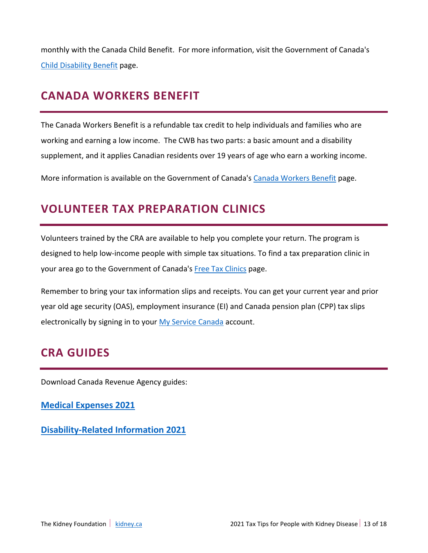monthly with the Canada Child Benefit. For more information, visit the Government of Canada's [Child Disability Benefit](https://www.canada.ca/en/revenue-agency/services/child-family-benefits/child-disability-benefit.html) page.

# **CANADA WORKERS BENEFIT**

The Canada Workers Benefit is a refundable tax credit to help individuals and families who are working and earning a low income. The CWB has two parts: a basic amount and a disability supplement, and it applies Canadian residents over 19 years of age who earn a working income.

More information is available on the Government of Canada's [Canada Workers Benefit](https://www.canada.ca/en/revenue-agency/services/child-family-benefits/canada-workers-benefit.html) page.

## **VOLUNTEER TAX PREPARATION CLINICS**

Volunteers trained by the CRA are available to help you complete your return. The program is designed to help low-income people with simple tax situations. To find a tax preparation clinic in your area go to the Government of Canada's [Free Tax Clinics](https://www.canada.ca/en/revenue-agency/services/tax/individuals/community-volunteer-income-tax-program.html) page.

Remember to bring your tax information slips and receipts. You can get your current year and prior year old age security (OAS), employment insurance (EI) and Canada pension plan (CPP) tax slips electronically by signing in to your [My Service Canada](https://www.canada.ca/en/employment-social-development/services/my-account.html) account.

### **CRA GUIDES**

Download Canada Revenue Agency guides:

**[Medical Expenses 2021](https://www.canada.ca/en/revenue-agency/services/forms-publications/publications/rc4065/medical-expenses.html)**

**[Disability-Related Information 2021](https://www.canada.ca/en/revenue-agency/services/forms-publications/publications/rc4064/disability-related-information.html)**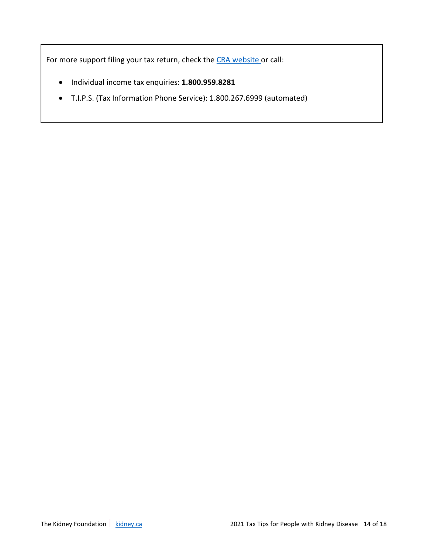For more support filing your tax return, check the [CRA website](https://www.canada.ca/en/revenue-agency.html) or call:

- Individual income tax enquiries: **1.800.959.8281**
- T.I.P.S. (Tax Information Phone Service): 1.800.267.6999 (automated)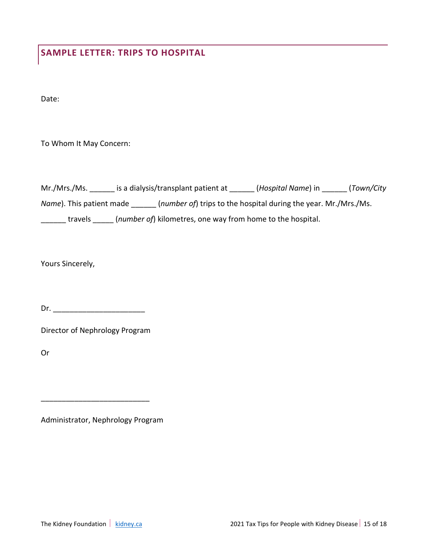# **SAMPLE LETTER: TRIPS TO HOSPITAL**

Date:

To Whom It May Concern:

| Mr./Mrs./Ms.                     | is a dialysis/transplant patient at                        | (Hospital Name) in                                              | (Town/City |
|----------------------------------|------------------------------------------------------------|-----------------------------------------------------------------|------------|
| <i>Name</i> ). This patient made |                                                            | (number of) trips to the hospital during the year. Mr./Mrs./Ms. |            |
| travels                          | (number of) kilometres, one way from home to the hospital. |                                                                 |            |

Yours Sincerely,

Dr. \_\_\_\_\_\_\_\_\_\_\_\_\_\_\_\_\_\_\_\_\_\_

Director of Nephrology Program

Or

Administrator, Nephrology Program

\_\_\_\_\_\_\_\_\_\_\_\_\_\_\_\_\_\_\_\_\_\_\_\_\_\_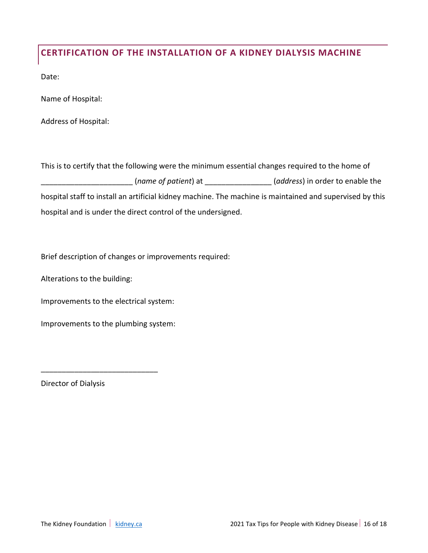### **CERTIFICATION OF THE INSTALLATION OF A KIDNEY DIALYSIS MACHINE**

Date:

Name of Hospital:

Address of Hospital:

This is to certify that the following were the minimum essential changes required to the home of \_\_\_\_\_\_\_\_\_\_\_\_\_\_\_\_\_\_\_\_\_\_ (*name of patient*) at \_\_\_\_\_\_\_\_\_\_\_\_\_\_\_\_ (*address*) in order to enable the hospital staff to install an artificial kidney machine. The machine is maintained and supervised by this hospital and is under the direct control of the undersigned.

Brief description of changes or improvements required:

Alterations to the building:

Improvements to the electrical system:

Improvements to the plumbing system:

\_\_\_\_\_\_\_\_\_\_\_\_\_\_\_\_\_\_\_\_\_\_\_\_\_\_\_\_

Director of Dialysis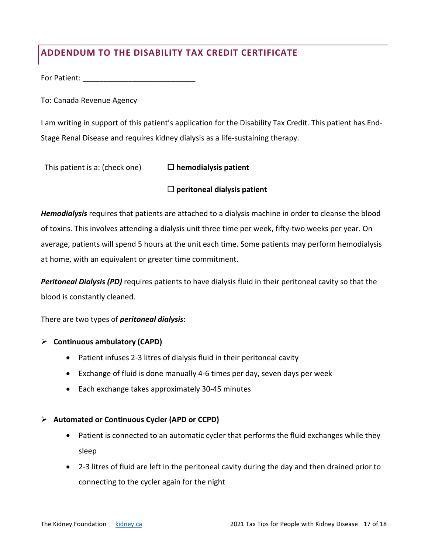### **ADDENDUM TO THE DISABILITY TAX CREDIT CERTIFICATE**

For Patient:

To: Canada Revenue Agency

I am writing in support of this patient's application for the Disability Tax Credit. This patient has End-Stage Renal Disease and requires kidney dialysis as a life-sustaining therapy.

This patient is a: (check one) **hemodialysis patient**

### **peritoneal dialysis patient**

*Hemodialysis* requires that patients are attached to a dialysis machine in order to cleanse the blood of toxins. This involves attending a dialysis unit three time per week, fifty-two weeks per year. On average, patients will spend 5 hours at the unit each time. Some patients may perform hemodialysis at home, with an equivalent or greater time commitment.

*Peritoneal Dialysis (PD)* requires patients to have dialysis fluid in their peritoneal cavity so that the blood is constantly cleaned.

There are two types of *peritoneal dialysis*:

### **Continuous ambulatory (CAPD)**

- Patient infuses 2-3 litres of dialysis fluid in their peritoneal cavity
- Exchange of fluid is done manually 4-6 times per day, seven days per week
- Each exchange takes approximately 30-45 minutes

### **Automated or Continuous Cycler (APD or CCPD)**

- Patient is connected to an automatic cycler that performs the fluid exchanges while they sleep
- 2-3 litres of fluid are left in the peritoneal cavity during the day and then drained prior to connecting to the cycler again for the night